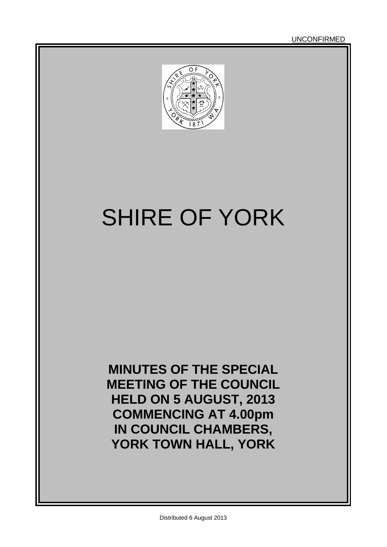UNCONFIRMED



# SHIRE OF YORK

**MINUTES OF THE SPECIAL MEETING OF THE COUNCIL HELD ON 5 AUGUST, 2013 COMMENCING AT 4.00pm IN COUNCIL CHAMBERS, YORK TOWN HALL, YORK**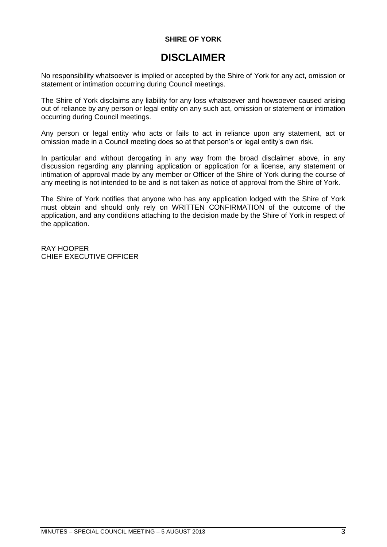### **SHIRE OF YORK**

### **DISCLAIMER**

No responsibility whatsoever is implied or accepted by the Shire of York for any act, omission or statement or intimation occurring during Council meetings.

The Shire of York disclaims any liability for any loss whatsoever and howsoever caused arising out of reliance by any person or legal entity on any such act, omission or statement or intimation occurring during Council meetings.

Any person or legal entity who acts or fails to act in reliance upon any statement, act or omission made in a Council meeting does so at that person's or legal entity's own risk.

In particular and without derogating in any way from the broad disclaimer above, in any discussion regarding any planning application or application for a license, any statement or intimation of approval made by any member or Officer of the Shire of York during the course of any meeting is not intended to be and is not taken as notice of approval from the Shire of York.

The Shire of York notifies that anyone who has any application lodged with the Shire of York must obtain and should only rely on WRITTEN CONFIRMATION of the outcome of the application, and any conditions attaching to the decision made by the Shire of York in respect of the application.

RAY HOOPER CHIEF EXECUTIVE OFFICER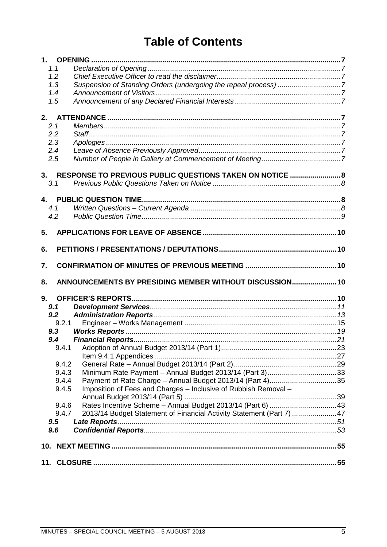### **Table of Contents**

|    | 1.1   |                                                                       |  |
|----|-------|-----------------------------------------------------------------------|--|
|    | 1.2   |                                                                       |  |
|    | 1.3   | Suspension of Standing Orders (undergoing the repeal process) 7       |  |
|    | 1.4   |                                                                       |  |
|    | 1.5   |                                                                       |  |
|    |       |                                                                       |  |
| 2. |       |                                                                       |  |
|    | 2.1   |                                                                       |  |
|    | 2.2   |                                                                       |  |
|    | 2.3   |                                                                       |  |
|    | 2.4   |                                                                       |  |
|    | 2.5   |                                                                       |  |
|    |       |                                                                       |  |
|    |       | 3. RESPONSE TO PREVIOUS PUBLIC QUESTIONS TAKEN ON NOTICE  8           |  |
|    | 3.1   |                                                                       |  |
|    |       |                                                                       |  |
|    |       |                                                                       |  |
|    | 4.1   |                                                                       |  |
|    | 4.2   |                                                                       |  |
|    |       |                                                                       |  |
| 5. |       |                                                                       |  |
| 6. |       |                                                                       |  |
|    |       |                                                                       |  |
|    |       |                                                                       |  |
| 7. |       |                                                                       |  |
|    |       |                                                                       |  |
| 8. |       | ANNOUNCEMENTS BY PRESIDING MEMBER WITHOUT DISCUSSION 10               |  |
|    |       |                                                                       |  |
| 9. |       |                                                                       |  |
|    | 9.1   |                                                                       |  |
|    | 9.2   |                                                                       |  |
|    | 9.2.1 |                                                                       |  |
|    | 9.3   |                                                                       |  |
|    | 9.4   |                                                                       |  |
|    | 9.4.1 |                                                                       |  |
|    |       |                                                                       |  |
|    | 9.4.2 |                                                                       |  |
|    | 9.4.3 | Minimum Rate Payment - Annual Budget 2013/14 (Part 3)33               |  |
|    | 9.4.4 |                                                                       |  |
|    | 9.4.5 | Imposition of Fees and Charges - Inclusive of Rubbish Removal -       |  |
|    |       |                                                                       |  |
|    | 9.4.6 |                                                                       |  |
|    | 9.4.7 | 2013/14 Budget Statement of Financial Activity Statement (Part 7)  47 |  |
|    | 9.5   |                                                                       |  |
|    | 9.6   |                                                                       |  |
|    |       |                                                                       |  |
|    |       |                                                                       |  |
|    |       |                                                                       |  |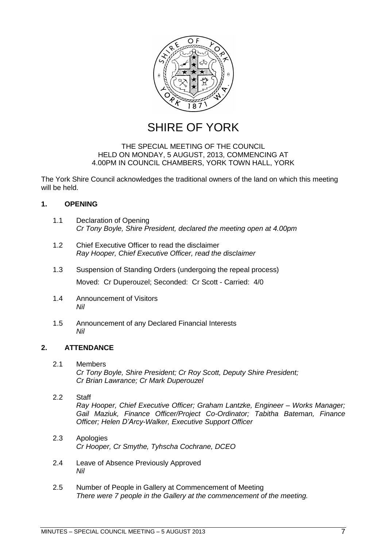

SHIRE OF YORK

### THE SPECIAL MEETING OF THE COUNCIL HELD ON MONDAY, 5 AUGUST, 2013, COMMENCING AT 4.00PM IN COUNCIL CHAMBERS, YORK TOWN HALL, YORK

The York Shire Council acknowledges the traditional owners of the land on which this meeting will be held.

### <span id="page-6-0"></span>**1. OPENING**

- <span id="page-6-1"></span>1.1 Declaration of Opening *Cr Tony Boyle, Shire President, declared the meeting open at 4.00pm*
- <span id="page-6-2"></span>1.2 Chief Executive Officer to read the disclaimer *Ray Hooper, Chief Executive Officer, read the disclaimer*
- <span id="page-6-3"></span>1.3 Suspension of Standing Orders (undergoing the repeal process) Moved: Cr Duperouzel; Seconded: Cr Scott - Carried: 4/0
- <span id="page-6-4"></span>1.4 Announcement of Visitors *Nil*
- <span id="page-6-5"></span>1.5 Announcement of any Declared Financial Interests *Nil*

### <span id="page-6-6"></span>**2. ATTENDANCE**

<span id="page-6-7"></span>2.1 Members *Cr Tony Boyle, Shire President; Cr Roy Scott, Deputy Shire President; Cr Brian Lawrance; Cr Mark Duperouzel*

### <span id="page-6-8"></span>2.2 Staff

*Ray Hooper, Chief Executive Officer; Graham Lantzke, Engineer – Works Manager; Gail Maziuk, Finance Officer/Project Co-Ordinator; Tabitha Bateman, Finance Officer; Helen D'Arcy-Walker, Executive Support Officer*

- <span id="page-6-9"></span>2.3 Apologies *Cr Hooper, Cr Smythe, Tyhscha Cochrane, DCEO*
- <span id="page-6-10"></span>2.4 Leave of Absence Previously Approved *Nil*
- <span id="page-6-11"></span>2.5 Number of People in Gallery at Commencement of Meeting *There were 7 people in the Gallery at the commencement of the meeting.*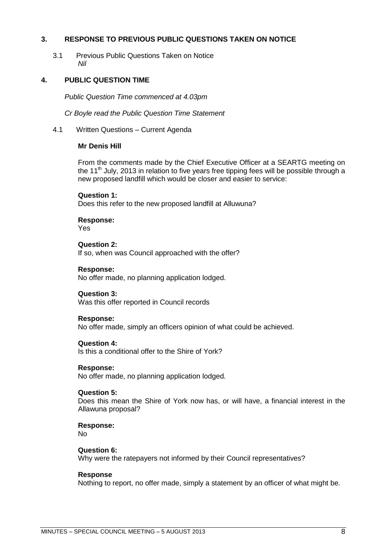### <span id="page-7-0"></span>**3. RESPONSE TO PREVIOUS PUBLIC QUESTIONS TAKEN ON NOTICE**

<span id="page-7-1"></span>3.1 Previous Public Questions Taken on Notice *Nil*

### <span id="page-7-2"></span>**4. PUBLIC QUESTION TIME**

*Public Question Time commenced at 4.03pm*

*Cr Boyle read the Public Question Time Statement*

<span id="page-7-3"></span>4.1 Written Questions – Current Agenda

### **Mr Denis Hill**

From the comments made by the Chief Executive Officer at a SEARTG meeting on the 11<sup>th</sup> July, 2013 in relation to five years free tipping fees will be possible through a new proposed landfill which would be closer and easier to service:

**Question 1:** Does this refer to the new proposed landfill at Alluwuna?

**Response:**

Yes

**Question 2:** If so, when was Council approached with the offer?

**Response:** No offer made, no planning application lodged.

### **Question 3:**

Was this offer reported in Council records

### **Response:**

No offer made, simply an officers opinion of what could be achieved.

### **Question 4:**

Is this a conditional offer to the Shire of York?

### **Response:**

No offer made, no planning application lodged.

### **Question 5:**

Does this mean the Shire of York now has, or will have, a financial interest in the Allawuna proposal?

**Response:** No

**Question 6:**

Why were the ratepayers not informed by their Council representatives?

### **Response**

Nothing to report, no offer made, simply a statement by an officer of what might be.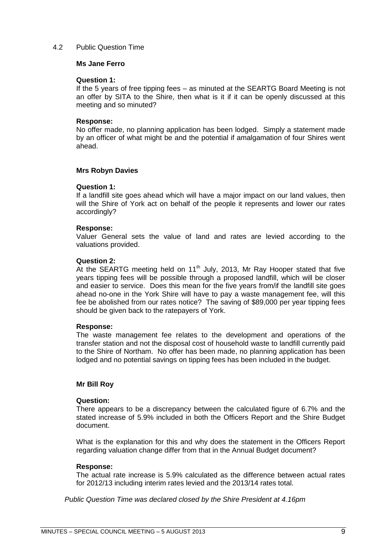### <span id="page-8-0"></span>4.2 Public Question Time

### **Ms Jane Ferro**

### **Question 1:**

If the 5 years of free tipping fees – as minuted at the SEARTG Board Meeting is not an offer by SITA to the Shire, then what is it if it can be openly discussed at this meeting and so minuted?

### **Response:**

No offer made, no planning application has been lodged. Simply a statement made by an officer of what might be and the potential if amalgamation of four Shires went ahead.

### **Mrs Robyn Davies**

### **Question 1:**

If a landfill site goes ahead which will have a major impact on our land values, then will the Shire of York act on behalf of the people it represents and lower our rates accordingly?

### **Response:**

Valuer General sets the value of land and rates are levied according to the valuations provided.

### **Question 2:**

At the SEARTG meeting held on  $11<sup>th</sup>$  July, 2013, Mr Ray Hooper stated that five years tipping fees will be possible through a proposed landfill, which will be closer and easier to service. Does this mean for the five years from/if the landfill site goes ahead no-one in the York Shire will have to pay a waste management fee, will this fee be abolished from our rates notice? The saving of \$89,000 per year tipping fees should be given back to the ratepayers of York.

### **Response:**

The waste management fee relates to the development and operations of the transfer station and not the disposal cost of household waste to landfill currently paid to the Shire of Northam. No offer has been made, no planning application has been lodged and no potential savings on tipping fees has been included in the budget.

### **Mr Bill Roy**

### **Question:**

There appears to be a discrepancy between the calculated figure of 6.7% and the stated increase of 5.9% included in both the Officers Report and the Shire Budget document.

What is the explanation for this and why does the statement in the Officers Report regarding valuation change differ from that in the Annual Budget document?

### **Response:**

The actual rate increase is 5.9% calculated as the difference between actual rates for 2012/13 including interim rates levied and the 2013/14 rates total.

*Public Question Time was declared closed by the Shire President at 4.16pm*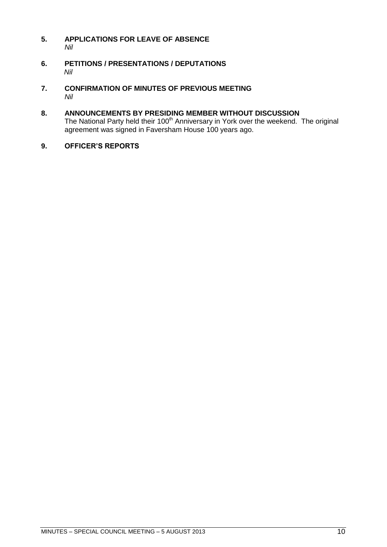- <span id="page-9-0"></span>**5. APPLICATIONS FOR LEAVE OF ABSENCE**  *Nil*
- <span id="page-9-1"></span>**6. PETITIONS / PRESENTATIONS / DEPUTATIONS** *Nil*
- <span id="page-9-2"></span>**7. CONFIRMATION OF MINUTES OF PREVIOUS MEETING** *Nil*
- <span id="page-9-3"></span>**8. ANNOUNCEMENTS BY PRESIDING MEMBER WITHOUT DISCUSSION** The National Party held their  $100<sup>th</sup>$  Anniversary in York over the weekend. The original agreement was signed in Faversham House 100 years ago.
- <span id="page-9-4"></span>**9. OFFICER'S REPORTS**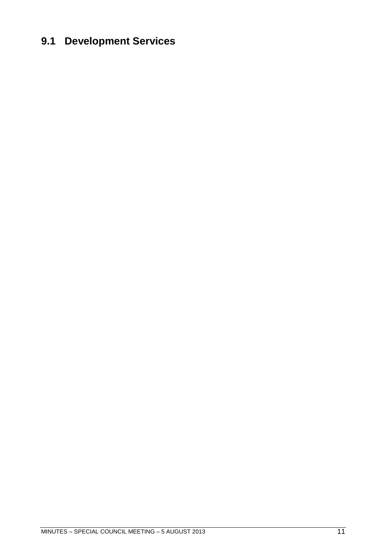### <span id="page-10-0"></span>**9.1 Development Services**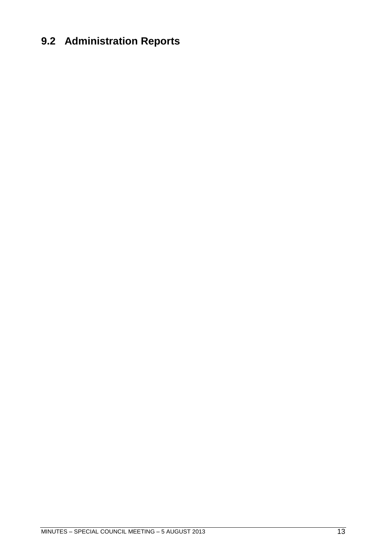### <span id="page-12-0"></span>**9.2 Administration Reports**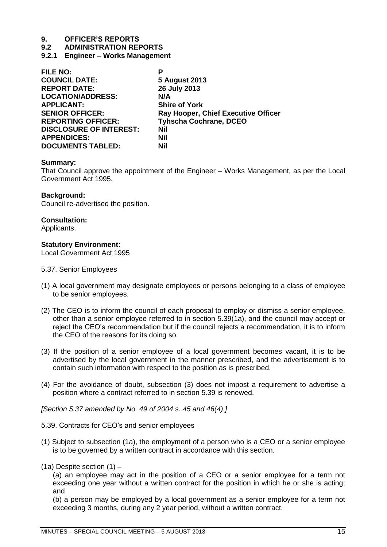### **9.2 ADMINISTRATION REPORTS**

<span id="page-14-0"></span>**9.2.1 Engineer – Works Management**

| <b>FILE NO:</b>                | Р                                          |
|--------------------------------|--------------------------------------------|
| <b>COUNCIL DATE:</b>           | 5 August 2013                              |
| <b>REPORT DATE:</b>            | 26 July 2013                               |
| <b>LOCATION/ADDRESS:</b>       | N/A                                        |
| <b>APPLICANT:</b>              | <b>Shire of York</b>                       |
| <b>SENIOR OFFICER:</b>         | <b>Ray Hooper, Chief Executive Officer</b> |
| <b>REPORTING OFFICER:</b>      | <b>Tyhscha Cochrane, DCEO</b>              |
| <b>DISCLOSURE OF INTEREST:</b> | Nil                                        |
| <b>APPENDICES:</b>             | Nil                                        |
| <b>DOCUMENTS TABLED:</b>       | Nil                                        |

### **Summary:**

That Council approve the appointment of the Engineer – Works Management, as per the Local Government Act 1995.

### **Background:**

Council re-advertised the position.

### **Consultation:**

Applicants.

### **Statutory Environment:**

Local Government Act 1995

- 5.37. Senior Employees
- (1) A local government may designate employees or persons belonging to a class of employee to be senior employees.
- (2) The CEO is to inform the council of each proposal to employ or dismiss a senior employee, other than a senior employee referred to in section 5.39(1a), and the council may accept or reject the CEO's recommendation but if the council rejects a recommendation, it is to inform the CEO of the reasons for its doing so.
- (3) If the position of a senior employee of a local government becomes vacant, it is to be advertised by the local government in the manner prescribed, and the advertisement is to contain such information with respect to the position as is prescribed.
- (4) For the avoidance of doubt, subsection (3) does not impost a requirement to advertise a position where a contract referred to in section 5.39 is renewed.

*[Section 5.37 amended by No. 49 of 2004 s. 45 and 46(4).]* 

5.39. Contracts for CEO's and senior employees

- (1) Subject to subsection (1a), the employment of a person who is a CEO or a senior employee is to be governed by a written contract in accordance with this section.
- (1a) Despite section (1) –

(a) an employee may act in the position of a CEO or a senior employee for a term not exceeding one year without a written contract for the position in which he or she is acting; and

(b) a person may be employed by a local government as a senior employee for a term not exceeding 3 months, during any 2 year period, without a written contract.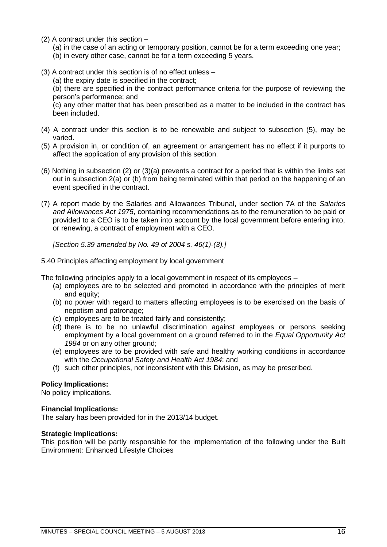- (2) A contract under this section
	- (a) in the case of an acting or temporary position, cannot be for a term exceeding one year;
	- (b) in every other case, cannot be for a term exceeding 5 years.
- (3) A contract under this section is of no effect unless
	- (a) the expiry date is specified in the contract;

(b) there are specified in the contract performance criteria for the purpose of reviewing the person's performance; and

(c) any other matter that has been prescribed as a matter to be included in the contract has been included.

- (4) A contract under this section is to be renewable and subject to subsection (5), may be varied.
- (5) A provision in, or condition of, an agreement or arrangement has no effect if it purports to affect the application of any provision of this section.
- (6) Nothing in subsection (2) or (3)(a) prevents a contract for a period that is within the limits set out in subsection 2(a) or (b) from being terminated within that period on the happening of an event specified in the contract.
- (7) A report made by the Salaries and Allowances Tribunal, under section 7A of the *Salaries and Allowances Act 1975*, containing recommendations as to the remuneration to be paid or provided to a CEO is to be taken into account by the local government before entering into, or renewing, a contract of employment with a CEO.

*[Section 5.39 amended by No. 49 of 2004 s. 46(1)-(3).]* 

5.40 Principles affecting employment by local government

The following principles apply to a local government in respect of its employees –

- (a) employees are to be selected and promoted in accordance with the principles of merit and equity;
- (b) no power with regard to matters affecting employees is to be exercised on the basis of nepotism and patronage;
- (c) employees are to be treated fairly and consistently;
- (d) there is to be no unlawful discrimination against employees or persons seeking employment by a local government on a ground referred to in the *Equal Opportunity Act 1984* or on any other ground;
- (e) employees are to be provided with safe and healthy working conditions in accordance with the *Occupational Safety and Health Act 1984*; and
- (f) such other principles, not inconsistent with this Division, as may be prescribed.

### **Policy Implications:**

No policy implications.

### **Financial Implications:**

The salary has been provided for in the 2013/14 budget.

### **Strategic Implications:**

This position will be partly responsible for the implementation of the following under the Built Environment: Enhanced Lifestyle Choices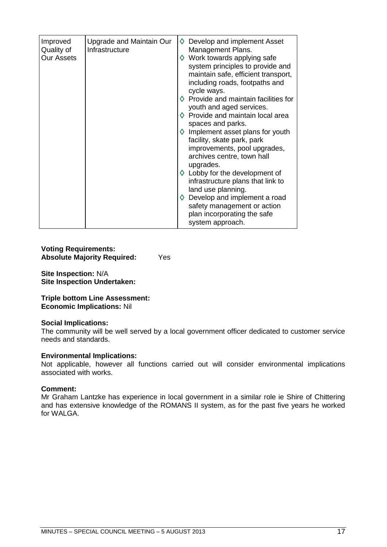| Improved<br>Quality of<br><b>Our Assets</b> | Upgrade and Maintain Our<br>Infrastructure | Develop and implement Asset<br>♦<br>Management Plans.<br>$\diamond$ Work towards applying safe<br>system principles to provide and<br>maintain safe, efficient transport,<br>including roads, footpaths and<br>cycle ways.<br>$\diamond$ Provide and maintain facilities for<br>youth and aged services.<br>$\diamond$ Provide and maintain local area<br>spaces and parks.<br>$\diamond$ Implement asset plans for youth<br>facility, skate park, park<br>improvements, pool upgrades,<br>archives centre, town hall<br>upgrades.<br>$\diamond$ Lobby for the development of<br>infrastructure plans that link to<br>land use planning.<br>$\diamond$ Develop and implement a road<br>safety management or action<br>plan incorporating the safe<br>system approach. |
|---------------------------------------------|--------------------------------------------|-----------------------------------------------------------------------------------------------------------------------------------------------------------------------------------------------------------------------------------------------------------------------------------------------------------------------------------------------------------------------------------------------------------------------------------------------------------------------------------------------------------------------------------------------------------------------------------------------------------------------------------------------------------------------------------------------------------------------------------------------------------------------|

### **Voting Requirements: Absolute Majority Required:** Yes

**Site Inspection:** N/A **Site Inspection Undertaken:** 

**Triple bottom Line Assessment: Economic Implications:** Nil

### **Social Implications:**

The community will be well served by a local government officer dedicated to customer service needs and standards.

### **Environmental Implications:**

Not applicable, however all functions carried out will consider environmental implications associated with works.

### **Comment:**

Mr Graham Lantzke has experience in local government in a similar role ie Shire of Chittering and has extensive knowledge of the ROMANS II system, as for the past five years he worked for WALGA.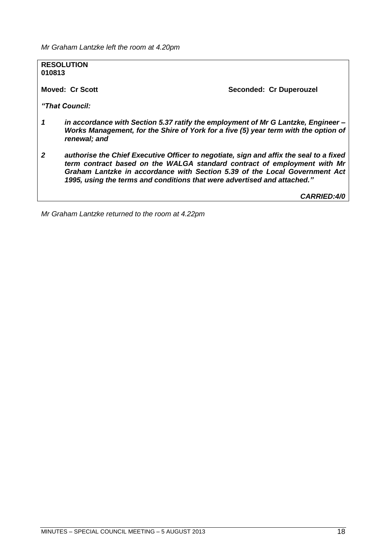*Mr Graham Lantzke left the room at 4.20pm*

**RESOLUTION 010813 Moved: Cr Scott Seconded: Cr Duperouzel** *"That Council: 1 in accordance with Section 5.37 ratify the employment of Mr G Lantzke, Engineer – Works Management, for the Shire of York for a five (5) year term with the option of renewal; and 2 authorise the Chief Executive Officer to negotiate, sign and affix the seal to a fixed term contract based on the WALGA standard contract of employment with Mr Graham Lantzke in accordance with Section 5.39 of the Local Government Act 1995, using the terms and conditions that were advertised and attached." CARRIED:4/0 Mr Graham Lantzke returned to the room at 4.22pm*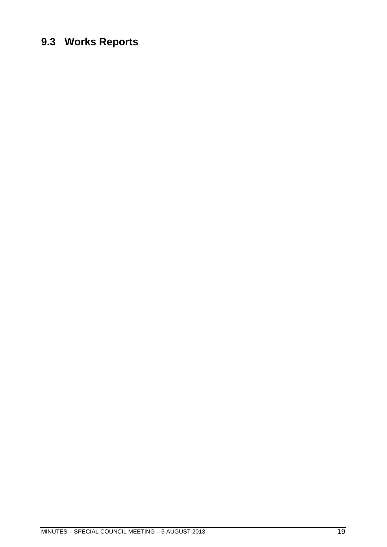### <span id="page-18-0"></span>**9.3 Works Reports**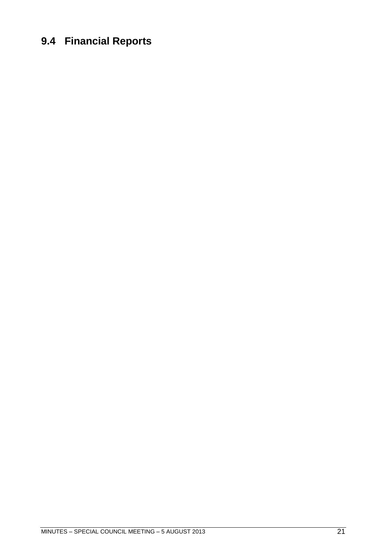### <span id="page-20-0"></span>**9.4 Financial Reports**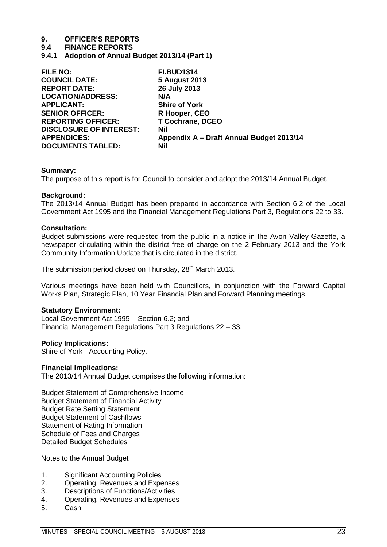**9.4 FINANCE REPORTS**

<span id="page-22-0"></span>**9.4.1 Adoption of Annual Budget 2013/14 (Part 1)**

| FILE NO:                       | <b>FI.BUD1314</b>                        |
|--------------------------------|------------------------------------------|
| <b>COUNCIL DATE:</b>           | <b>5 August 2013</b>                     |
| <b>REPORT DATE:</b>            | 26 July 2013                             |
| <b>LOCATION/ADDRESS:</b>       | N/A                                      |
| <b>APPLICANT:</b>              | <b>Shire of York</b>                     |
| <b>SENIOR OFFICER:</b>         | R Hooper, CEO                            |
| <b>REPORTING OFFICER:</b>      | <b>T Cochrane, DCEO</b>                  |
| <b>DISCLOSURE OF INTEREST:</b> | <b>Nil</b>                               |
| <b>APPENDICES:</b>             | Appendix A - Draft Annual Budget 2013/14 |
| <b>DOCUMENTS TABLED:</b>       | <b>Nil</b>                               |

### **Summary:**

The purpose of this report is for Council to consider and adopt the 2013/14 Annual Budget.

### **Background:**

The 2013/14 Annual Budget has been prepared in accordance with Section 6.2 of the Local Government Act 1995 and the Financial Management Regulations Part 3, Regulations 22 to 33.

### **Consultation:**

Budget submissions were requested from the public in a notice in the Avon Valley Gazette, a newspaper circulating within the district free of charge on the 2 February 2013 and the York Community Information Update that is circulated in the district.

The submission period closed on Thursday, 28<sup>th</sup> March 2013.

Various meetings have been held with Councillors, in conjunction with the Forward Capital Works Plan, Strategic Plan, 10 Year Financial Plan and Forward Planning meetings.

### **Statutory Environment:**

Local Government Act 1995 – Section 6.2; and Financial Management Regulations Part 3 Regulations 22 – 33.

### **Policy Implications:**

Shire of York - Accounting Policy.

### **Financial Implications:**

The 2013/14 Annual Budget comprises the following information:

Budget Statement of Comprehensive Income Budget Statement of Financial Activity Budget Rate Setting Statement Budget Statement of Cashflows Statement of Rating Information Schedule of Fees and Charges Detailed Budget Schedules

Notes to the Annual Budget

- 1. Significant Accounting Policies
- 2. Operating, Revenues and Expenses
- 3. Descriptions of Functions/Activities
- 4. Operating, Revenues and Expenses
- 5. Cash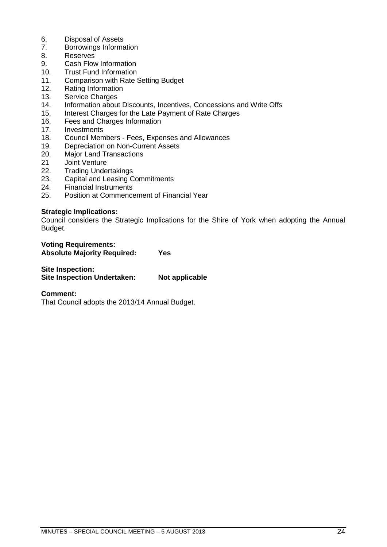- 6. Disposal of Assets<br>7. Borrowings Informa
- 7. Borrowings Information
- 8. Reserves
- 9. Cash Flow Information
- 10. Trust Fund Information
- 11. Comparison with Rate Setting Budget
- 12. Rating Information
- 13. Service Charges
- 14. Information about Discounts, Incentives, Concessions and Write Offs
- 15. Interest Charges for the Late Payment of Rate Charges
- 16. Fees and Charges Information
- 17. Investments
- 18. Council Members Fees, Expenses and Allowances
- 19. Depreciation on Non-Current Assets
- 20. Major Land Transactions
- 21 Joint Venture
- 22. Trading Undertakings
- 23. Capital and Leasing Commitments
- 24. Financial Instruments
- 25. Position at Commencement of Financial Year

### **Strategic Implications:**

Council considers the Strategic Implications for the Shire of York when adopting the Annual Budget.

| <b>Voting Requirements:</b>        |            |
|------------------------------------|------------|
| <b>Absolute Majority Required:</b> | <b>Yes</b> |

### **Site Inspection:**

| <b>Site Inspection Undertaken:</b> | Not applicable |
|------------------------------------|----------------|

### **Comment:**

That Council adopts the 2013/14 Annual Budget.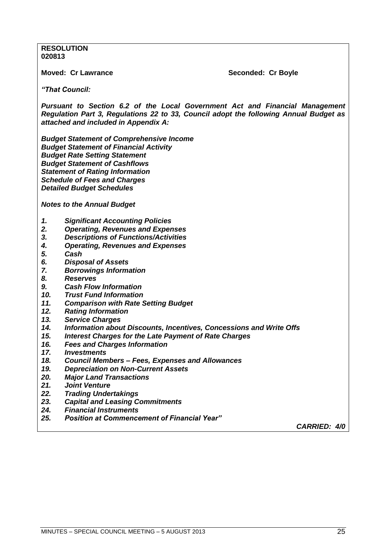### **RESOLUTION 020813**

### **Moved: Cr Lawrance**  The Seconded: Cr Boyle

*"That Council:*

*Pursuant to Section 6.2 of the Local Government Act and Financial Management Regulation Part 3, Regulations 22 to 33, Council adopt the following Annual Budget as attached and included in Appendix A:*

*Budget Statement of Comprehensive Income Budget Statement of Financial Activity Budget Rate Setting Statement Budget Statement of Cashflows Statement of Rating Information Schedule of Fees and Charges Detailed Budget Schedules* 

*Notes to the Annual Budget*

- *1. Significant Accounting Policies*
- *2. Operating, Revenues and Expenses*
- *3. Descriptions of Functions/Activities*
- *4. Operating, Revenues and Expenses*
- *5. Cash*
- *6. Disposal of Assets*
- *7. Borrowings Information*
- *8. Reserves*
- *9. Cash Flow Information*
- *10. Trust Fund Information*
- *11. Comparison with Rate Setting Budget*
- *12. Rating Information*
- *13. Service Charges*
- *14. Information about Discounts, Incentives, Concessions and Write Offs*
- *15. Interest Charges for the Late Payment of Rate Charges*
- *16. Fees and Charges Information*
- *17. Investments*
- *18. Council Members – Fees, Expenses and Allowances*
- *19. Depreciation on Non-Current Assets*
- *20. Major Land Transactions*
- *21. Joint Venture*
- *22. Trading Undertakings*
- *23. Capital and Leasing Commitments*
- *24. Financial Instruments*
- *25. Position at Commencement of Financial Year"*

*CARRIED: 4/0*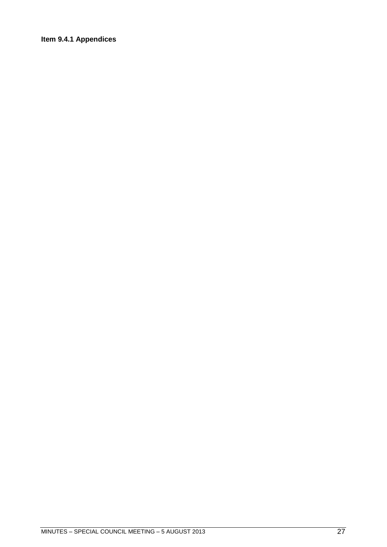### <span id="page-26-0"></span>**Item 9.4.1 Appendices**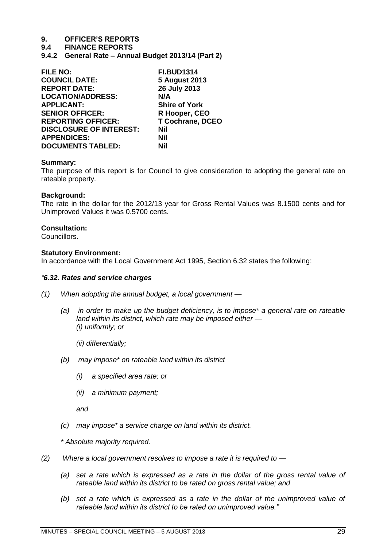### **9.4 FINANCE REPORTS**

<span id="page-28-0"></span>**9.4.2 General Rate – Annual Budget 2013/14 (Part 2)**

| <b>FILE NO:</b>                | <b>FI.BUD1314</b>       |
|--------------------------------|-------------------------|
| <b>COUNCIL DATE:</b>           | <b>5 August 2013</b>    |
| <b>REPORT DATE:</b>            | 26 July 2013            |
| <b>LOCATION/ADDRESS:</b>       | N/A                     |
| <b>APPLICANT:</b>              | <b>Shire of York</b>    |
| <b>SENIOR OFFICER:</b>         | R Hooper, CEO           |
| <b>REPORTING OFFICER:</b>      | <b>T Cochrane, DCEO</b> |
| <b>DISCLOSURE OF INTEREST:</b> | <b>Nil</b>              |
| <b>APPENDICES:</b>             | Nil                     |
| <b>DOCUMENTS TABLED:</b>       | Nil                     |

### **Summary:**

The purpose of this report is for Council to give consideration to adopting the general rate on rateable property.

### **Background:**

The rate in the dollar for the 2012/13 year for Gross Rental Values was 8.1500 cents and for Unimproved Values it was 0.5700 cents.

### **Consultation:**

Councillors.

### **Statutory Environment:**

In accordance with the Local Government Act 1995, Section 6.32 states the following:

### *―6.32. Rates and service charges*

- *(1) When adopting the annual budget, a local government —*
	- *(a) in order to make up the budget deficiency, is to impose\* a general rate on rateable land within its district, which rate may be imposed either — (i) uniformly; or*
		- *(ii) differentially;*
	- *(b) may impose\* on rateable land within its district*
		- *(i) a specified area rate; or*
		- *(ii) a minimum payment;*

*and*

*(c) may impose\* a service charge on land within its district.*

*\* Absolute majority required.*

- *(2) Where a local government resolves to impose a rate it is required to —*
	- *(a) set a rate which is expressed as a rate in the dollar of the gross rental value of rateable land within its district to be rated on gross rental value; and*
	- *(b) set a rate which is expressed as a rate in the dollar of the unimproved value of rateable land within its district to be rated on unimproved value.‖*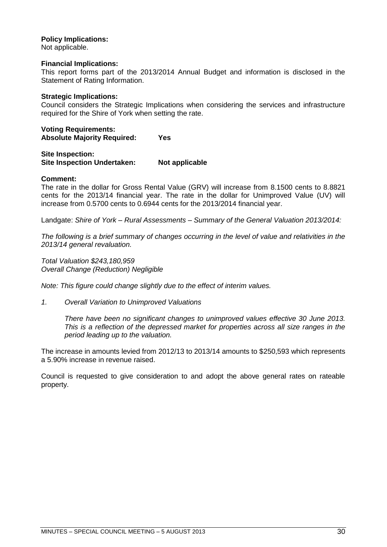### **Policy Implications:**

Not applicable.

### **Financial Implications:**

This report forms part of the 2013/2014 Annual Budget and information is disclosed in the Statement of Rating Information.

### **Strategic Implications:**

Council considers the Strategic Implications when considering the services and infrastructure required for the Shire of York when setting the rate.

**Voting Requirements: Absolute Majority Required: Yes**

**Site Inspection: Site Inspection Undertaken: Not applicable**

### **Comment:**

The rate in the dollar for Gross Rental Value (GRV) will increase from 8.1500 cents to 8.8821 cents for the 2013/14 financial year. The rate in the dollar for Unimproved Value (UV) will increase from 0.5700 cents to 0.6944 cents for the 2013/2014 financial year.

Landgate: *Shire of York – Rural Assessments – Summary of the General Valuation 2013/2014:*

*The following is a brief summary of changes occurring in the level of value and relativities in the 2013/14 general revaluation.*

*Total Valuation \$243,180,959 Overall Change (Reduction) Negligible* 

*Note: This figure could change slightly due to the effect of interim values.*

*1. Overall Variation to Unimproved Valuations*

*There have been no significant changes to unimproved values effective 30 June 2013. This is a reflection of the depressed market for properties across all size ranges in the period leading up to the valuation.*

The increase in amounts levied from 2012/13 to 2013/14 amounts to \$250,593 which represents a 5.90% increase in revenue raised.

Council is requested to give consideration to and adopt the above general rates on rateable property.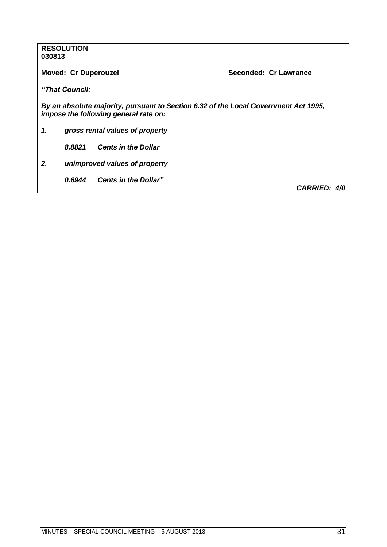|        | <b>RESOLUTION</b>           |                                       |                                                                                     |
|--------|-----------------------------|---------------------------------------|-------------------------------------------------------------------------------------|
| 030813 |                             |                                       |                                                                                     |
|        |                             |                                       |                                                                                     |
|        | <b>Moved: Cr Duperouzel</b> |                                       | Seconded: Cr Lawrance                                                               |
|        |                             |                                       |                                                                                     |
|        | "That Council:              |                                       |                                                                                     |
|        |                             |                                       |                                                                                     |
|        |                             |                                       | By an absolute majority, pursuant to Section 6.32 of the Local Government Act 1995, |
|        |                             | impose the following general rate on: |                                                                                     |
|        |                             |                                       |                                                                                     |
| 1.     |                             | gross rental values of property       |                                                                                     |
|        |                             |                                       |                                                                                     |
|        | 8.8821                      | <b>Cents in the Dollar</b>            |                                                                                     |
|        |                             |                                       |                                                                                     |
| 2.     |                             | unimproved values of property         |                                                                                     |
|        |                             |                                       |                                                                                     |
|        | 0.6944                      | <b>Cents in the Dollar"</b>           |                                                                                     |
|        |                             |                                       | <b>CARRIED: 4/0</b>                                                                 |
|        |                             |                                       |                                                                                     |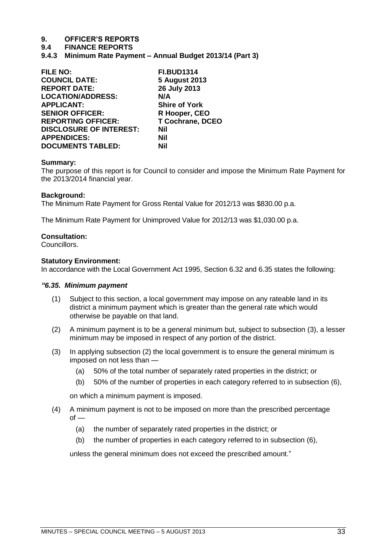### **9.4 FINANCE REPORTS**

<span id="page-32-0"></span>**9.4.3 Minimum Rate Payment – Annual Budget 2013/14 (Part 3)**

| <b>FILE NO:</b>                | <b>FI.BUD1314</b>       |
|--------------------------------|-------------------------|
| <b>COUNCIL DATE:</b>           | <b>5 August 2013</b>    |
| <b>REPORT DATE:</b>            | 26 July 2013            |
| <b>LOCATION/ADDRESS:</b>       | N/A                     |
| <b>APPLICANT:</b>              | <b>Shire of York</b>    |
| <b>SENIOR OFFICER:</b>         | R Hooper, CEO           |
| <b>REPORTING OFFICER:</b>      | <b>T Cochrane, DCEO</b> |
| <b>DISCLOSURE OF INTEREST:</b> | <b>Nil</b>              |
| <b>APPENDICES:</b>             | <b>Nil</b>              |
| <b>DOCUMENTS TABLED:</b>       | Nil                     |

### **Summary:**

The purpose of this report is for Council to consider and impose the Minimum Rate Payment for the 2013/2014 financial year.

### **Background:**

The Minimum Rate Payment for Gross Rental Value for 2012/13 was \$830.00 p.a.

The Minimum Rate Payment for Unimproved Value for 2012/13 was \$1,030.00 p.a.

### **Consultation:**

Councillors.

### **Statutory Environment:**

In accordance with the Local Government Act 1995, Section 6.32 and 6.35 states the following:

### *"6.35. Minimum payment*

- (1) Subject to this section, a local government may impose on any rateable land in its district a minimum payment which is greater than the general rate which would otherwise be payable on that land.
- (2) A minimum payment is to be a general minimum but, subject to subsection (3), a lesser minimum may be imposed in respect of any portion of the district.
- (3) In applying subsection (2) the local government is to ensure the general minimum is imposed on not less than —
	- (a) 50% of the total number of separately rated properties in the district; or
	- (b) 50% of the number of properties in each category referred to in subsection (6),

on which a minimum payment is imposed.

- (4) A minimum payment is not to be imposed on more than the prescribed percentage  $of -$ 
	- (a) the number of separately rated properties in the district; or
	- (b) the number of properties in each category referred to in subsection (6),

unless the general minimum does not exceed the prescribed amount."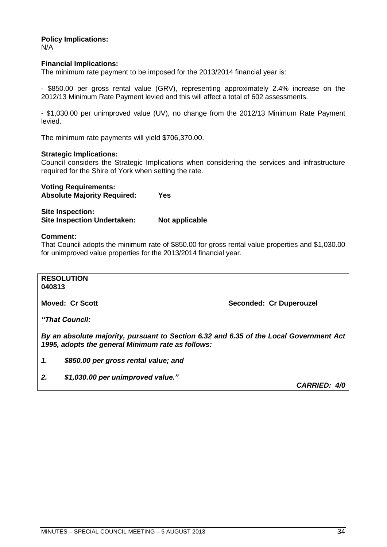**Policy Implications:** N/A

### **Financial Implications:**

The minimum rate payment to be imposed for the 2013/2014 financial year is:

- \$850.00 per gross rental value (GRV), representing approximately 2.4% increase on the 2012/13 Minimum Rate Payment levied and this will affect a total of 602 assessments.

- \$1,030.00 per unimproved value (UV), no change from the 2012/13 Minimum Rate Payment levied.

The minimum rate payments will yield \$706,370.00.

### **Strategic Implications:**

Council considers the Strategic Implications when considering the services and infrastructure required for the Shire of York when setting the rate.

**Voting Requirements:**

**Absolute Majority Required: Yes**

**Site Inspection: Site Inspection Undertaken: Not applicable** 

#### **Comment:**

That Council adopts the minimum rate of \$850.00 for gross rental value properties and \$1,030.00 for unimproved value properties for the 2013/2014 financial year.

**RESOLUTION 040813**

**Moved: Cr Scott Seconded: Cr Duperouzel** 

*"That Council:*

*By an absolute majority, pursuant to Section 6.32 and 6.35 of the Local Government Act 1995, adopts the general Minimum rate as follows:*

*1. \$850.00 per gross rental value; and*

*2. \$1,030.00 per unimproved value."*

*CARRIED: 4/0*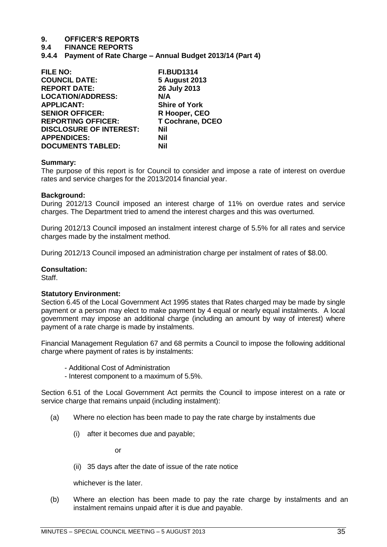### **9.4 FINANCE REPORTS**

<span id="page-34-0"></span>**9.4.4 Payment of Rate Charge – Annual Budget 2013/14 (Part 4)**

| <b>FI.BUD1314</b>       |
|-------------------------|
| <b>5 August 2013</b>    |
| 26 July 2013            |
| N/A                     |
| <b>Shire of York</b>    |
| R Hooper, CEO           |
| <b>T Cochrane, DCEO</b> |
| Nil                     |
| Nil                     |
| Nil                     |
|                         |

### **Summary:**

The purpose of this report is for Council to consider and impose a rate of interest on overdue rates and service charges for the 2013/2014 financial year.

### **Background:**

During 2012/13 Council imposed an interest charge of 11% on overdue rates and service charges. The Department tried to amend the interest charges and this was overturned.

During 2012/13 Council imposed an instalment interest charge of 5.5% for all rates and service charges made by the instalment method.

During 2012/13 Council imposed an administration charge per instalment of rates of \$8.00.

### **Consultation:**

Staff.

### **Statutory Environment:**

Section 6.45 of the Local Government Act 1995 states that Rates charged may be made by single payment or a person may elect to make payment by 4 equal or nearly equal instalments. A local government may impose an additional charge (including an amount by way of interest) where payment of a rate charge is made by instalments.

Financial Management Regulation 67 and 68 permits a Council to impose the following additional charge where payment of rates is by instalments:

- Additional Cost of Administration

- Interest component to a maximum of 5.5%.

Section 6.51 of the Local Government Act permits the Council to impose interest on a rate or service charge that remains unpaid (including instalment):

- (a) Where no election has been made to pay the rate charge by instalments due
	- (i) after it becomes due and payable;

or

(ii) 35 days after the date of issue of the rate notice

whichever is the later.

(b) Where an election has been made to pay the rate charge by instalments and an instalment remains unpaid after it is due and payable.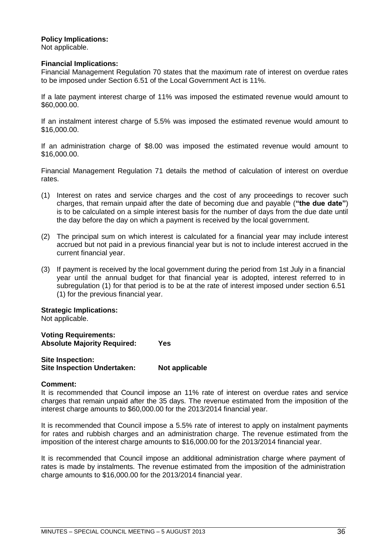### **Policy Implications:**

Not applicable.

### **Financial Implications:**

Financial Management Regulation 70 states that the maximum rate of interest on overdue rates to be imposed under Section 6.51 of the Local Government Act is 11%.

If a late payment interest charge of 11% was imposed the estimated revenue would amount to \$60,000.00.

If an instalment interest charge of 5.5% was imposed the estimated revenue would amount to \$16,000.00.

If an administration charge of \$8.00 was imposed the estimated revenue would amount to \$16,000.00.

Financial Management Regulation 71 details the method of calculation of interest on overdue rates.

- (1) Interest on rates and service charges and the cost of any proceedings to recover such charges, that remain unpaid after the date of becoming due and payable (**"the due date"**) is to be calculated on a simple interest basis for the number of days from the due date until the day before the day on which a payment is received by the local government.
- (2) The principal sum on which interest is calculated for a financial year may include interest accrued but not paid in a previous financial year but is not to include interest accrued in the current financial year.
- (3) If payment is received by the local government during the period from 1st July in a financial year until the annual budget for that financial year is adopted, interest referred to in subregulation (1) for that period is to be at the rate of interest imposed under section 6.51 (1) for the previous financial year.

**Strategic Implications:** Not applicable.

**Voting Requirements: Absolute Majority Required: Yes**

| Site Inspection:                   |                |
|------------------------------------|----------------|
| <b>Site Inspection Undertaken:</b> | Not applicable |

### **Comment:**

It is recommended that Council impose an 11% rate of interest on overdue rates and service charges that remain unpaid after the 35 days. The revenue estimated from the imposition of the interest charge amounts to \$60,000.00 for the 2013/2014 financial year.

It is recommended that Council impose a 5.5% rate of interest to apply on instalment payments for rates and rubbish charges and an administration charge. The revenue estimated from the imposition of the interest charge amounts to \$16,000.00 for the 2013/2014 financial year.

It is recommended that Council impose an additional administration charge where payment of rates is made by instalments. The revenue estimated from the imposition of the administration charge amounts to \$16,000.00 for the 2013/2014 financial year.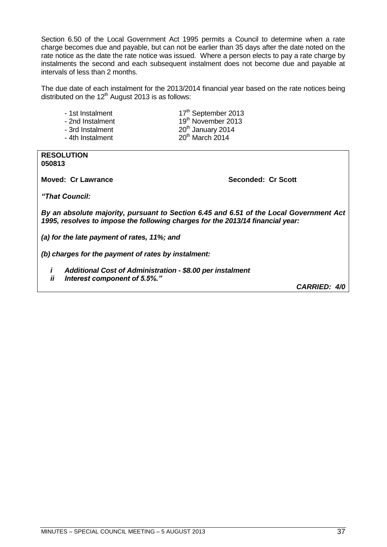Section 6.50 of the Local Government Act 1995 permits a Council to determine when a rate charge becomes due and payable, but can not be earlier than 35 days after the date noted on the rate notice as the date the rate notice was issued. Where a person elects to pay a rate charge by instalments the second and each subsequent instalment does not become due and payable at intervals of less than 2 months.

The due date of each instalment for the 2013/2014 financial year based on the rate notices being distributed on the  $12<sup>th</sup>$  August 2013 is as follows:

- 
- 
- 

- 1st Instalment 17<sup>th</sup> September 2013 - 2nd Instalment 19<sup>th</sup> November 2013 - 3rd Instalment 20<sup>th</sup> January 2014 - 4th Instalment 20<sup>th</sup> March 2014

#### **RESOLUTION 050813**

**Moved: Cr Lawrance Seconded: Cr Scott**

*"That Council:*

*By an absolute majority, pursuant to Section 6.45 and 6.51 of the Local Government Act 1995, resolves to impose the following charges for the 2013/14 financial year:*

*(a) for the late payment of rates, 11%; and*

*(b) charges for the payment of rates by instalment:*

- *i Additional Cost of Administration - \$8.00 per instalment*
- *ii Interest component of 5.5%."*

*CARRIED: 4/0*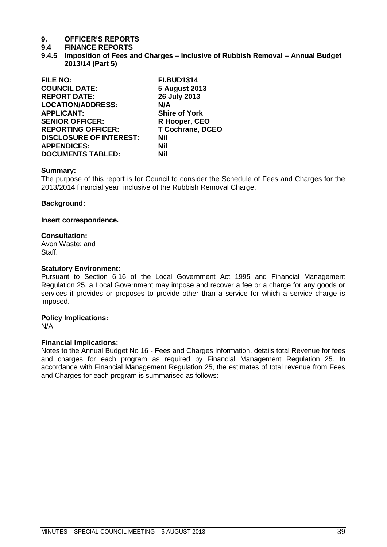### **9.4 FINANCE REPORTS**

<span id="page-38-0"></span>**9.4.5 Imposition of Fees and Charges – Inclusive of Rubbish Removal – Annual Budget 2013/14 (Part 5)**

| <b>FILE NO:</b>                | <b>FI.BUD1314</b>       |
|--------------------------------|-------------------------|
| <b>COUNCIL DATE:</b>           | <b>5 August 2013</b>    |
| <b>REPORT DATE:</b>            | 26 July 2013            |
| <b>LOCATION/ADDRESS:</b>       | N/A                     |
| <b>APPLICANT:</b>              | <b>Shire of York</b>    |
| <b>SENIOR OFFICER:</b>         | R Hooper, CEO           |
| <b>REPORTING OFFICER:</b>      | <b>T Cochrane, DCEO</b> |
| <b>DISCLOSURE OF INTEREST:</b> | Nil                     |
| <b>APPENDICES:</b>             | Nil                     |
| <b>DOCUMENTS TABLED:</b>       | Nil                     |

### **Summary:**

The purpose of this report is for Council to consider the Schedule of Fees and Charges for the 2013/2014 financial year, inclusive of the Rubbish Removal Charge.

#### **Background:**

#### **Insert correspondence.**

### **Consultation:**

Avon Waste; and Staff.

### **Statutory Environment:**

Pursuant to Section 6.16 of the Local Government Act 1995 and Financial Management Regulation 25, a Local Government may impose and recover a fee or a charge for any goods or services it provides or proposes to provide other than a service for which a service charge is imposed.

### **Policy Implications:**

N/A

### **Financial Implications:**

Notes to the Annual Budget No 16 - Fees and Charges Information, details total Revenue for fees and charges for each program as required by Financial Management Regulation 25. In accordance with Financial Management Regulation 25, the estimates of total revenue from Fees and Charges for each program is summarised as follows: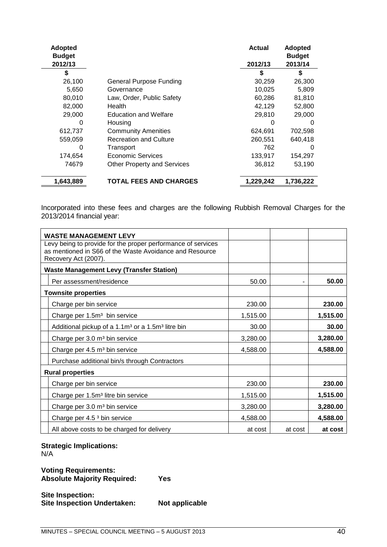| <b>Adopted</b><br><b>Budget</b> |                                    | <b>Actual</b> | Adopted<br><b>Budget</b> |
|---------------------------------|------------------------------------|---------------|--------------------------|
| 2012/13                         |                                    | 2012/13       | 2013/14                  |
| S                               |                                    | S             | S                        |
| 26,100                          | <b>General Purpose Funding</b>     | 30,259        | 26,300                   |
| 5,650                           | Governance                         | 10,025        | 5,809                    |
| 80,010                          | Law, Order, Public Safety          | 60,286        | 81,810                   |
| 82,000                          | Health                             | 42,129        | 52,800                   |
| 29,000                          | <b>Education and Welfare</b>       | 29,810        | 29,000                   |
| 0                               | Housing                            | 0             | 0                        |
| 612,737                         | <b>Community Amenities</b>         | 624,691       | 702,598                  |
| 559,059                         | <b>Recreation and Culture</b>      | 260,551       | 640,418                  |
| O                               | Transport                          | 762           | $\Omega$                 |
| 174,654                         | Economic Services                  | 133,917       | 154,297                  |
| 74679                           | <b>Other Property and Services</b> | 36,812        | 53,190                   |
| 1,643,889                       | <b>TOTAL FEES AND CHARGES</b>      | 1,229,242     | 1,736,222                |

Incorporated into these fees and charges are the following Rubbish Removal Charges for the 2013/2014 financial year:

| <b>WASTE MANAGEMENT LEVY</b>                                                                                                                    |          |         |          |  |
|-------------------------------------------------------------------------------------------------------------------------------------------------|----------|---------|----------|--|
| Levy being to provide for the proper performance of services<br>as mentioned in S66 of the Waste Avoidance and Resource<br>Recovery Act (2007). |          |         |          |  |
| <b>Waste Management Levy (Transfer Station)</b>                                                                                                 |          |         |          |  |
| Per assessment/residence                                                                                                                        | 50.00    |         | 50.00    |  |
| <b>Townsite properties</b>                                                                                                                      |          |         |          |  |
| Charge per bin service                                                                                                                          | 230.00   |         | 230.00   |  |
| Charge per 1.5m <sup>3</sup> bin service                                                                                                        | 1,515.00 |         | 1,515.00 |  |
| Additional pickup of a 1.1m <sup>3</sup> or a 1.5m <sup>3</sup> litre bin                                                                       | 30.00    |         | 30.00    |  |
| Charge per 3.0 m <sup>3</sup> bin service                                                                                                       | 3,280.00 |         | 3,280.00 |  |
| Charge per 4.5 m <sup>3</sup> bin service                                                                                                       | 4,588.00 |         | 4,588.00 |  |
| Purchase additional bin/s through Contractors                                                                                                   |          |         |          |  |
| <b>Rural properties</b>                                                                                                                         |          |         |          |  |
| Charge per bin service                                                                                                                          | 230.00   |         | 230.00   |  |
| Charge per 1.5m <sup>3</sup> litre bin service                                                                                                  | 1,515.00 |         | 1,515.00 |  |
| Charge per 3.0 m <sup>3</sup> bin service                                                                                                       | 3,280.00 |         | 3,280.00 |  |
| Charge per 4.5 <sup>3</sup> bin service                                                                                                         | 4,588.00 |         | 4,588.00 |  |
| All above costs to be charged for delivery                                                                                                      | at cost  | at cost | at cost  |  |

**Strategic Implications:**

N/A

**Voting Requirements: Absolute Majority Required: Yes**

**Site Inspection: Site Inspection Undertaken: Not applicable**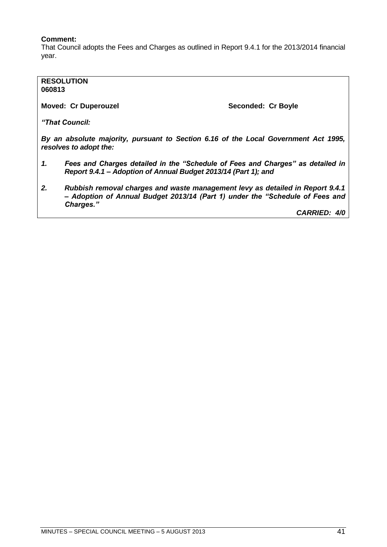### **Comment:**

That Council adopts the Fees and Charges as outlined in Report 9.4.1 for the 2013/2014 financial year.

### **RESOLUTION 060813 Moved: Cr Duperouzel Seconded: Cr Boyle Seconded: Cr Boyle** *"That Council:*

*By an absolute majority, pursuant to Section 6.16 of the Local Government Act 1995, resolves to adopt the:*

- *1. Fees and Charges detailed in the "Schedule of Fees and Charges" as detailed in Report 9.4.1 – Adoption of Annual Budget 2013/14 (Part 1); and*
- *2. Rubbish removal charges and waste management levy as detailed in Report 9.4.1 – Adoption of Annual Budget 2013/14 (Part 1) under the "Schedule of Fees and Charges."*

*CARRIED: 4/0*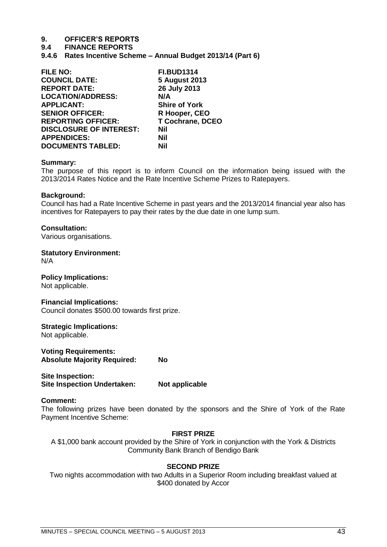### **9.4 FINANCE REPORTS**

<span id="page-42-0"></span>**9.4.6 Rates Incentive Scheme – Annual Budget 2013/14 (Part 6)**

| <b>FILE NO:</b>                | <b>FI.BUD1314</b>       |
|--------------------------------|-------------------------|
| <b>COUNCIL DATE:</b>           | <b>5 August 2013</b>    |
| <b>REPORT DATE:</b>            | 26 July 2013            |
| <b>LOCATION/ADDRESS:</b>       | N/A                     |
| <b>APPLICANT:</b>              | <b>Shire of York</b>    |
| <b>SENIOR OFFICER:</b>         | R Hooper, CEO           |
| <b>REPORTING OFFICER:</b>      | <b>T Cochrane, DCEO</b> |
| <b>DISCLOSURE OF INTEREST:</b> | <b>Nil</b>              |
| <b>APPENDICES:</b>             | <b>Nil</b>              |
| <b>DOCUMENTS TABLED:</b>       | Nil                     |

### **Summary:**

The purpose of this report is to inform Council on the information being issued with the 2013/2014 Rates Notice and the Rate Incentive Scheme Prizes to Ratepayers.

### **Background:**

Council has had a Rate Incentive Scheme in past years and the 2013/2014 financial year also has incentives for Ratepayers to pay their rates by the due date in one lump sum.

### **Consultation:**

Various organisations.

### **Statutory Environment:**

N/A

### **Policy Implications:**

Not applicable.

### **Financial Implications:**

Council donates \$500.00 towards first prize.

### **Strategic Implications:**

Not applicable.

**Voting Requirements: Absolute Majority Required: No**

**Site Inspection: Site Inspection Undertaken: Not applicable**

### **Comment:**

The following prizes have been donated by the sponsors and the Shire of York of the Rate Payment Incentive Scheme:

### **FIRST PRIZE**

A \$1,000 bank account provided by the Shire of York in conjunction with the York & Districts Community Bank Branch of Bendigo Bank

### **SECOND PRIZE**

Two nights accommodation with two Adults in a Superior Room including breakfast valued at \$400 donated by Accor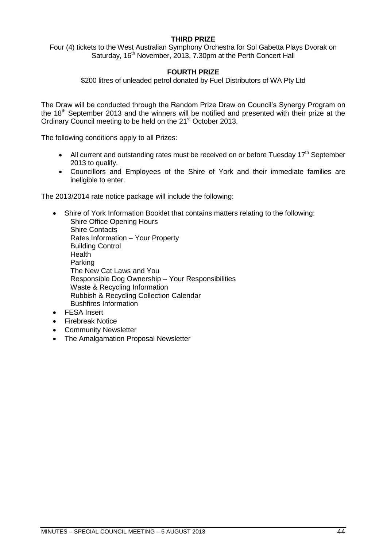### **THIRD PRIZE**

Four (4) tickets to the West Australian Symphony Orchestra for Sol Gabetta Plays Dvorak on Saturday, 16<sup>th</sup> November, 2013, 7.30pm at the Perth Concert Hall

### **FOURTH PRIZE**

\$200 litres of unleaded petrol donated by Fuel Distributors of WA Pty Ltd

The Draw will be conducted through the Random Prize Draw on Council's Synergy Program on the  $18<sup>th</sup>$  September 2013 and the winners will be notified and presented with their prize at the Ordinary Council meeting to be held on the 21<sup>st</sup> October 2013.

The following conditions apply to all Prizes:

- All current and outstanding rates must be received on or before Tuesday  $17<sup>th</sup>$  September 2013 to qualify.
- Councillors and Employees of the Shire of York and their immediate families are ineligible to enter.

The 2013/2014 rate notice package will include the following:

- Shire of York Information Booklet that contains matters relating to the following: Shire Office Opening Hours Shire Contacts Rates Information – Your Property Building Control **Health** Parking The New Cat Laws and You Responsible Dog Ownership – Your Responsibilities Waste & Recycling Information Rubbish & Recycling Collection Calendar Bushfires Information FESA Insert
	- Firebreak Notice
	- Community Newsletter
	- The Amalgamation Proposal Newsletter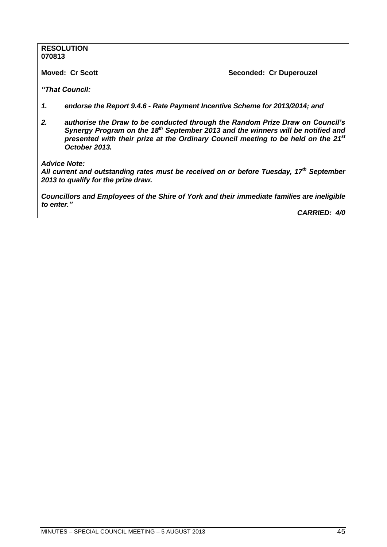#### **RESOLUTION 070813**

**Moved: Cr Scott Seconded: Cr Duperouzel** 

*"That Council:*

- *1. endorse the Report 9.4.6 - Rate Payment Incentive Scheme for 2013/2014; and*
- *2. authorise the Draw to be conducted through the Random Prize Draw on Council's Synergy Program on the 18th September 2013 and the winners will be notified and presented with their prize at the Ordinary Council meeting to be held on the 21st October 2013.*

*Advice Note:*

*All current and outstanding rates must be received on or before Tuesday, 17th September 2013 to qualify for the prize draw.*

*Councillors and Employees of the Shire of York and their immediate families are ineligible to enter."*

*CARRIED: 4/0*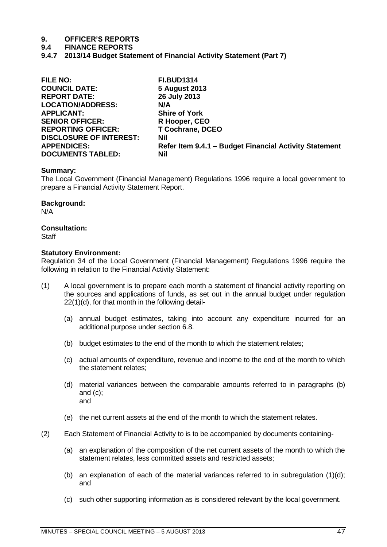### **9.4 FINANCE REPORTS**

<span id="page-46-0"></span>**9.4.7 2013/14 Budget Statement of Financial Activity Statement (Part 7)**

| <b>FILE NO:</b>                | <b>FI.BUD1314</b>                                      |
|--------------------------------|--------------------------------------------------------|
| <b>COUNCIL DATE:</b>           | <b>5 August 2013</b>                                   |
| <b>REPORT DATE:</b>            | 26 July 2013                                           |
| <b>LOCATION/ADDRESS:</b>       | N/A                                                    |
| <b>APPLICANT:</b>              | <b>Shire of York</b>                                   |
| <b>SENIOR OFFICER:</b>         | R Hooper, CEO                                          |
| <b>REPORTING OFFICER:</b>      | <b>T Cochrane, DCEO</b>                                |
| <b>DISCLOSURE OF INTEREST:</b> | <b>Nil</b>                                             |
| <b>APPENDICES:</b>             | Refer Item 9.4.1 - Budget Financial Activity Statement |
| <b>DOCUMENTS TABLED:</b>       | Nil                                                    |

### **Summary:**

The Local Government (Financial Management) Regulations 1996 require a local government to prepare a Financial Activity Statement Report.

### **Background:**

N/A

### **Consultation:**

**Staff** 

### **Statutory Environment:**

Regulation 34 of the Local Government (Financial Management) Regulations 1996 require the following in relation to the Financial Activity Statement:

- (1) A local government is to prepare each month a statement of financial activity reporting on the sources and applications of funds, as set out in the annual budget under regulation 22(1)(d), for that month in the following detail-
	- (a) annual budget estimates, taking into account any expenditure incurred for an additional purpose under section 6.8.
	- (b) budget estimates to the end of the month to which the statement relates;
	- (c) actual amounts of expenditure, revenue and income to the end of the month to which the statement relates;
	- (d) material variances between the comparable amounts referred to in paragraphs (b) and (c); and
	- (e) the net current assets at the end of the month to which the statement relates.
- (2) Each Statement of Financial Activity to is to be accompanied by documents containing-
	- (a) an explanation of the composition of the net current assets of the month to which the statement relates, less committed assets and restricted assets;
	- (b) an explanation of each of the material variances referred to in subregulation  $(1)(d)$ ; and
	- (c) such other supporting information as is considered relevant by the local government.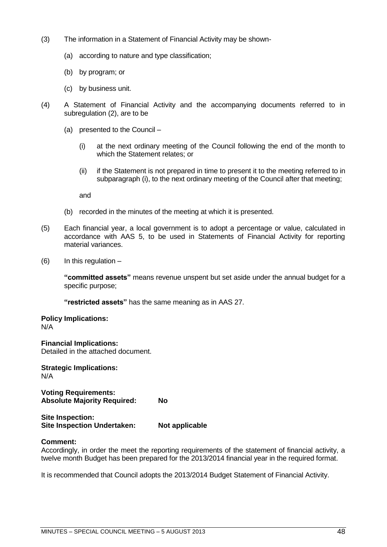- (3) The information in a Statement of Financial Activity may be shown-
	- (a) according to nature and type classification;
	- (b) by program; or
	- (c) by business unit.
- (4) A Statement of Financial Activity and the accompanying documents referred to in subregulation (2), are to be
	- (a) presented to the Council
		- (i) at the next ordinary meeting of the Council following the end of the month to which the Statement relates; or
		- (ii) if the Statement is not prepared in time to present it to the meeting referred to in subparagraph (i), to the next ordinary meeting of the Council after that meeting;

and

- (b) recorded in the minutes of the meeting at which it is presented.
- (5) Each financial year, a local government is to adopt a percentage or value, calculated in accordance with AAS 5, to be used in Statements of Financial Activity for reporting material variances.
- $(6)$  In this regulation  $-$

**"committed assets"** means revenue unspent but set aside under the annual budget for a specific purpose;

**"restricted assets"** has the same meaning as in AAS 27.

**Policy Implications:** N/A

**Financial Implications:** Detailed in the attached document.

**Strategic Implications:** N/A

**Voting Requirements: Absolute Majority Required: No**

**Site Inspection: Site Inspection Undertaken: Not applicable**

### **Comment:**

Accordingly, in order the meet the reporting requirements of the statement of financial activity, a twelve month Budget has been prepared for the 2013/2014 financial year in the required format.

It is recommended that Council adopts the 2013/2014 Budget Statement of Financial Activity.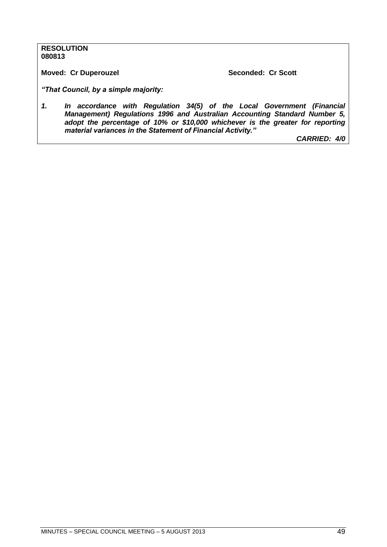### **RESOLUTION 080813**

**Moved: Cr Duperouzel Seconded: Cr Scott** 

*"That Council, by a simple majority:*

*1. In accordance with Regulation 34(5) of the Local Government (Financial Management) Regulations 1996 and Australian Accounting Standard Number 5, adopt the percentage of 10% or \$10,000 whichever is the greater for reporting material variances in the Statement of Financial Activity."*

*CARRIED: 4/0*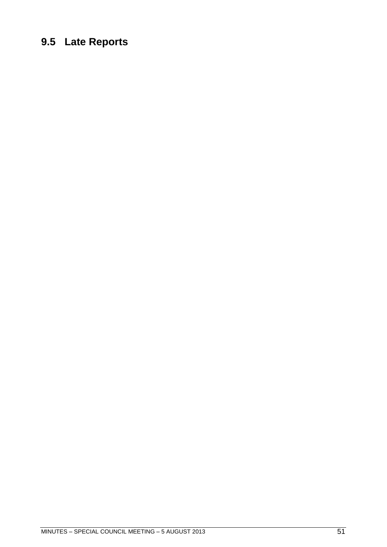### <span id="page-50-0"></span>**9.5 Late Reports**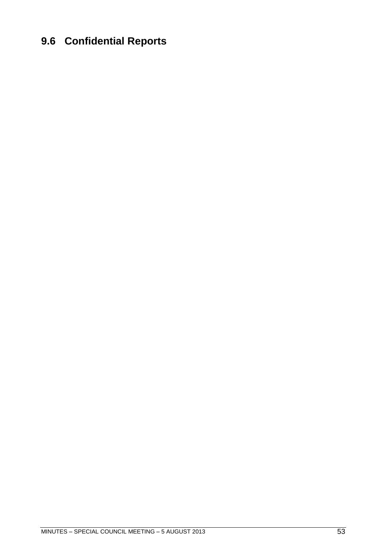### <span id="page-52-0"></span>**9.6 Confidential Reports**